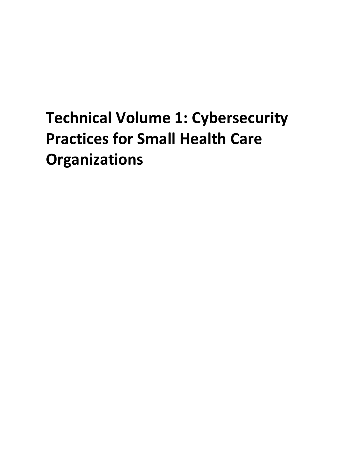### **Organizations Technical Volume 1: Cybersecurity Practices for Small Health Care**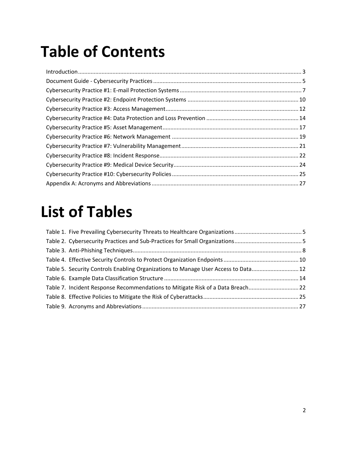### **Table of Contents**

### **List of Tables**

| Table 5. Security Controls Enabling Organizations to Manage User Access to Data 12 |  |
|------------------------------------------------------------------------------------|--|
|                                                                                    |  |
| Table 7. Incident Response Recommendations to Mitigate Risk of a Data Breach 22    |  |
|                                                                                    |  |
|                                                                                    |  |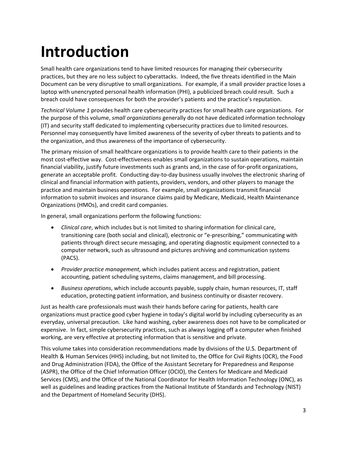### <span id="page-2-0"></span>**Introduction**

 laptop with unencrypted personal health information (PHI), a publicized breach could result. Such a Small health care organizations tend to have limited resources for managing their cybersecurity practices, but they are no less subject to cyberattacks. Indeed, the five threats identified in the Main Document can be very disruptive to small organizations. For example, if a small provider practice loses a breach could have consequences for both the provider's patients and the practice's reputation.

(IT) and security staff dedicated to implementing cybersecurity practices due to limited resources. *Technical Volume 1* provides health care cybersecurity practices for small health care organizations. For the purpose of this volume, *small organizations* generally do not have dedicated information technology Personnel may consequently have limited awareness of the severity of cyber threats to patients and to the organization, and thus awareness of the importance of cybersecurity.

 practice and maintain business operations. For example, small organizations transmit financial The primary mission of small healthcare organizations is to provide health care to their patients in the most cost-effective way. Cost-effectiveness enables small organizations to sustain operations, maintain financial viability, justify future investments such as grants and, in the case of for-profit organizations, generate an acceptable profit. Conducting day-to-day business usually involves the electronic sharing of clinical and financial information with patients, providers, vendors, and other players to manage the information to submit invoices and insurance claims paid by Medicare, Medicaid, Health Maintenance Organizations (HMOs), and credit card companies.

In general, small organizations perform the following functions:

- transitioning care (both social and clinical), electronic or "e-prescribing," communicating with • *Clinical care*, which includes but is not limited to sharing information for clinical care, patients through direct secure messaging, and operating diagnostic equipment connected to a computer network, such as ultrasound and pictures archiving and communication systems (PACS).
- • *Provider practice management*, which includes patient access and registration, patient accounting, patient scheduling systems, claims management, and bill processing.
- • *Business operations*, which include accounts payable, supply chain, human resources, IT, staff education, protecting patient information, and business continuity or disaster recovery.

Just as health care professionals must wash their hands before caring for patients, health care organizations must practice good cyber hygiene in today's digital world by including cybersecurity as an everyday, universal precaution. Like hand washing, cyber awareness does not have to be complicated or expensive. In fact, simple cybersecurity practices, such as always logging off a computer when finished working, are very effective at protecting information that is sensitive and private.

This volume takes into consideration recommendations made by divisions of the U.S. Department of Health & Human Services (HHS) including, but not limited to, the Office for Civil Rights (OCR), the Food and Drug Administration (FDA), the Office of the Assistant Secretary for Preparedness and Response (ASPR), the Office of the Chief Information Officer (OCIO), the Centers for Medicare and Medicaid Services (CMS), and the Office of the National Coordinator for Health Information Technology (ONC), as well as guidelines and leading practices from the National Institute of Standards and Technology (NIST) and the Department of Homeland Security (DHS).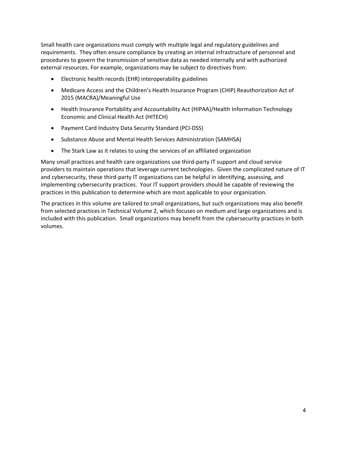Small health care organizations must comply with multiple legal and regulatory guidelines and requirements. They often ensure compliance by creating an internal infrastructure of personnel and external resources. For example, organizations may be subject to directives from: procedures to govern the transmission of sensitive data as needed internally and with authorized

- • Electronic health records (EHR) interoperability guidelines
- Medicare Access and the Children's Health Insurance Program (CHIP) Reauthorization Act of 2015 (MACRA)/Meaningful Use
- Health Insurance Portability and Accountability Act (HIPAA)/Health Information Technology Economic and Clinical Health Act (HITECH)
- • Payment Card Industry Data Security Standard (PCI-DSS)
- Substance Abuse and Mental Health Services Administration (SAMHSA)
- The Stark Law as it relates to using the services of an affiliated organization

 providers to maintain operations that leverage current technologies. Given the complicated nature of IT and cybersecurity, these third-party IT organizations can be helpful in identifying, assessing, and implementing cybersecurity practices. Your IT support providers should be capable of reviewing the practices in this publication to determine which are most applicable to your organization. Many small practices and health care organizations use third-party IT support and cloud service

 The practices in this volume are tailored to small organizations, but such organizations may also benefit from selected practices in Technical Volume 2, which focuses on medium and large organizations and is included with this publication. Small organizations may benefit from the cybersecurity practices in both volumes.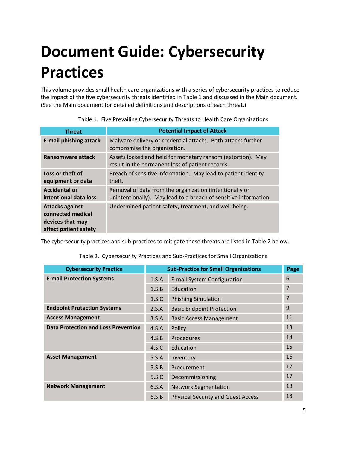## <span id="page-4-2"></span>**Document Guide: Cybersecurity Practices**

This volume provides small health care organizations with a series of cybersecurity practices to reduce the impact of the five cybersecurity threats identified in Table 1 and discussed in the Main document. (See the Main document for detailed definitions and descriptions of each threat.)

<span id="page-4-0"></span>

| <b>Threat</b>                                                                            | <b>Potential Impact of Attack</b>                                                                                           |
|------------------------------------------------------------------------------------------|-----------------------------------------------------------------------------------------------------------------------------|
| <b>E-mail phishing attack</b>                                                            | Malware delivery or credential attacks. Both attacks further<br>compromise the organization.                                |
| Ransomware attack                                                                        | Assets locked and held for monetary ransom (extortion). May<br>result in the permanent loss of patient records.             |
| Loss or theft of<br>equipment or data                                                    | Breach of sensitive information. May lead to patient identity<br>theft.                                                     |
| <b>Accidental or</b><br>intentional data loss                                            | Removal of data from the organization (intentionally or<br>unintentionally). May lead to a breach of sensitive information. |
| <b>Attacks against</b><br>connected medical<br>devices that may<br>affect patient safety | Undermined patient safety, treatment, and well-being.                                                                       |

Table 1. Five Prevailing Cybersecurity Threats to Health Care Organizations

<span id="page-4-1"></span>The cybersecurity practices and sub-practices to mitigate these threats are listed in Table 2 below.

| <b>Cybersecurity Practice</b>              | <b>Sub-Practice for Small Organizations</b> |                                           | Page           |
|--------------------------------------------|---------------------------------------------|-------------------------------------------|----------------|
| <b>E-mail Protection Systems</b>           | 1.S.A                                       | E-mail System Configuration               | 6              |
|                                            | 1.S.B                                       | Education                                 | $\overline{7}$ |
|                                            | 1.S.C                                       | <b>Phishing Simulation</b>                | 7              |
| <b>Endpoint Protection Systems</b>         | 2.S.A                                       | <b>Basic Endpoint Protection</b>          | 9              |
| <b>Access Management</b>                   | 3.S.A                                       | <b>Basic Access Management</b>            | 11             |
| <b>Data Protection and Loss Prevention</b> | 4.S.A                                       | Policy                                    | 13             |
|                                            | 4.S.B                                       | Procedures                                | 14             |
|                                            | 4.S.C                                       | Education                                 | 15             |
| <b>Asset Management</b>                    | 5.S.A                                       | Inventory                                 | 16             |
|                                            | 5.S.B                                       | Procurement                               | 17             |
|                                            | 5.S.C                                       | Decommissioning                           | 17             |
| <b>Network Management</b>                  | 6.5.A                                       | <b>Network Segmentation</b>               | 18             |
|                                            | 6.S.B                                       | <b>Physical Security and Guest Access</b> | 18             |

Table 2. Cybersecurity Practices and Sub-Practices for Small Organizations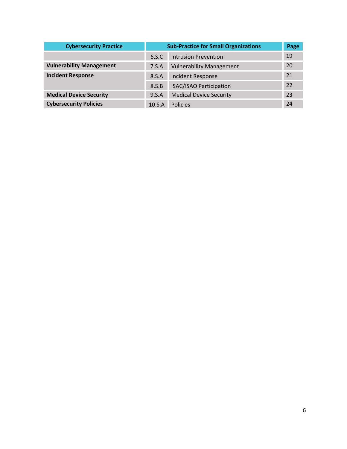| <b>Cybersecurity Practice</b>   | <b>Sub-Practice for Small Organizations</b> |                                 | Page |
|---------------------------------|---------------------------------------------|---------------------------------|------|
|                                 | 6.S.C                                       | Intrusion Prevention            | 19   |
| <b>Vulnerability Management</b> | 7.S.A                                       | <b>Vulnerability Management</b> | 20   |
| <b>Incident Response</b>        | 8.S.A                                       | Incident Response               | 21   |
|                                 | 8.S.B                                       | <b>ISAC/ISAO Participation</b>  | 22   |
| <b>Medical Device Security</b>  | 9.5.A                                       | <b>Medical Device Security</b>  | 23   |
| <b>Cybersecurity Policies</b>   | 10.S.A                                      | <b>Policies</b>                 | 24   |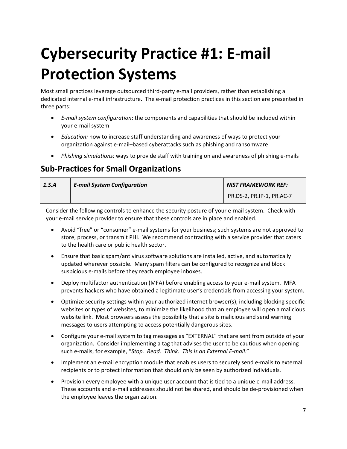## <span id="page-6-0"></span>**Cybersecurity Practice #1: E-mail Protection Systems**

 dedicated internal e-mail infrastructure. The e-mail protection practices in this section are presented in Most small practices leverage outsourced third-party e-mail providers, rather than establishing a three parts:

- • *E-mail system configuration*: the components and capabilities that should be included within your e-mail system
- organization against e-mail–based cyberattacks such as phishing and ransomware • *Education:* how to increase staff understanding and awareness of ways to protect your
- • *Phishing simulations:* ways to provide staff with training on and awareness of phishing e-mails

#### **Sub-Practices for Small Organizations**

| 1.S.A | <b>E-mail System Configuration</b> | NIST FRAMEWORK REF:       |
|-------|------------------------------------|---------------------------|
|       |                                    | PR.DS-2, PR.IP-1, PR.AC-7 |

 Consider the following controls to enhance the security posture of your e-mail system. Check with your e-mail service provider to ensure that these controls are in place and enabled.

- Avoid "free" or "consumer" e-mail systems for your business; such systems are not approved to store, process, or transmit PHI. We recommend contracting with a service provider that caters to the health care or public health sector.
- updated wherever possible. Many spam filters can be configured to recognize and block suspicious e-mails before they reach employee inboxes. • Ensure that basic spam/antivirus software solutions are installed, active, and automatically
- Deploy multifactor authentication (MFA) before enabling access to your e-mail system. MFA prevents hackers who have obtained a legitimate user's credentials from accessing your system.
- • Optimize security settings within your authorized internet browser(s), including blocking specific websites or types of websites, to minimize the likelihood that an employee will open a malicious website link. Most browsers assess the possibility that a site is malicious and send warning messages to users attempting to access potentially dangerous sites.
- organization. Consider implementing a tag that advises the user to be cautious when opening  such e-mails, for example, "*Stop. Read. Think. This is an External E-mail*." • Configure your e-mail system to tag messages as "EXTERNAL" that are sent from outside of your
- Implement an e-mail encryption module that enables users to securely send e-mails to external recipients or to protect information that should only be seen by authorized individuals.
- Provision every employee with a unique user account that is tied to a unique e-mail address. These accounts and e-mail addresses should not be shared, and should be de-provisioned when the employee leaves the organization.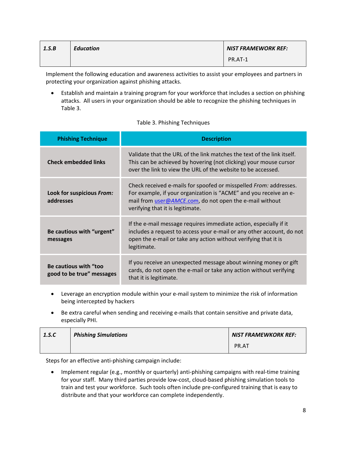| 1.S.B | <b>Education</b> | <b>NIST FRAMEWORK REF:</b> |
|-------|------------------|----------------------------|
|       |                  | PR.AT-1                    |

Implement the following education and awareness activities to assist your employees and partners in protecting your organization against phishing attacks.

 • Establish and maintain a training program for your workforce that includes a section on phishing attacks. All users in your organization should be able to recognize the phishing techniques in Table 3.

<span id="page-7-0"></span>

| <b>Phishing Technique</b>                          | <b>Description</b>                                                                                                                                                                                                                    |
|----------------------------------------------------|---------------------------------------------------------------------------------------------------------------------------------------------------------------------------------------------------------------------------------------|
| <b>Check embedded links</b>                        | Validate that the URL of the link matches the text of the link itself.<br>This can be achieved by hovering (not clicking) your mouse cursor<br>over the link to view the URL of the website to be accessed.                           |
| Look for suspicious From:<br>addresses             | Check received e-mails for spoofed or misspelled From: addresses.<br>For example, if your organization is "ACME" and you receive an e-<br>mail from user@AMCE.com, do not open the e-mail without<br>verifying that it is legitimate. |
| Be cautious with "urgent"<br>messages              | If the e-mail message requires immediate action, especially if it<br>includes a request to access your e-mail or any other account, do not<br>open the e-mail or take any action without verifying that it is<br>legitimate.          |
| Be cautious with "too<br>good to be true" messages | If you receive an unexpected message about winning money or gift<br>cards, do not open the e-mail or take any action without verifying<br>that it is legitimate.                                                                      |

#### Table 3. Phishing Techniques

- Leverage an encryption module within your e-mail system to minimize the risk of information being intercepted by hackers
- especially PHI. Be extra careful when sending and receiving e-mails that contain sensitive and private data,

| 1.S.C | <b>Phishing Simulations</b> | <b>NIST FRAMEWKORK REF:</b> |
|-------|-----------------------------|-----------------------------|
|       |                             | PR.AT                       |

Steps for an effective anti-phishing campaign include:

 • Implement regular (e.g., monthly or quarterly) anti-phishing campaigns with real-time training for your staff. Many third parties provide low-cost, cloud-based phishing simulation tools to train and test your workforce. Such tools often include pre-configured training that is easy to distribute and that your workforce can complete independently.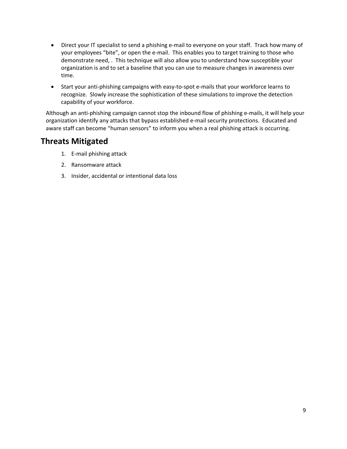- Direct your IT specialist to send a phishing e-mail to everyone on your staff. Track how many of your employees "bite", or open the e-mail. This enables you to target training to those who demonstrate need, . This technique will also allow you to understand how susceptible your organization is and to set a baseline that you can use to measure changes in awareness over time.
- Start your anti-phishing campaigns with easy-to-spot e-mails that your workforce learns to recognize. Slowly increase the sophistication of these simulations to improve the detection capability of your workforce.

 organization identify any attacks that bypass established e-mail security protections. Educated and aware staff can become "human sensors" to inform you when a real phishing attack is occurring. Although an anti-phishing campaign cannot stop the inbound flow of phishing e-mails, it will help your

- 1. E-mail phishing attack
- 2. Ransomware attack
- 3. Insider, accidental or intentional data loss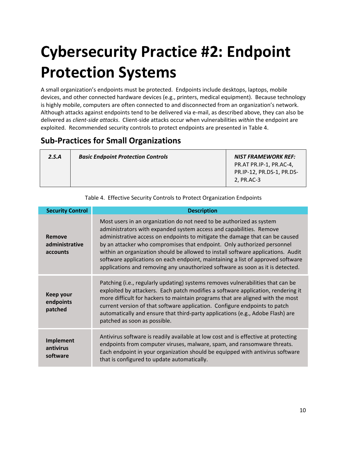### <span id="page-9-1"></span> **Cybersecurity Practice #2: Endpoint Protection Systems**

 A small organization's endpoints must be protected. Endpoints include desktops, laptops, mobile devices, and other connected hardware devices (e.g., printers, medical equipment). Because technology is highly mobile, computers are often connected to and disconnected from an organization's network. Although attacks against endpoints tend to be delivered via e-mail, as described above, they can also be delivered as *client-side attacks*. Client-side attacks occur when vulnerabilities *within* the endpoint are exploited. Recommended security controls to protect endpoints are presented in Table 4.

#### **Sub-Practices for Small Organizations**

| 2.S.A | <b>Basic Endpoint Protection Controls</b> | <b>NIST FRAMEWORK REF:</b><br>PR.AT PR.IP-1, PR.AC-4,<br>PR.IP-12, PR.DS-1, PR.DS-<br>2, PR.AC-3 |
|-------|-------------------------------------------|--------------------------------------------------------------------------------------------------|
|       |                                           |                                                                                                  |

<span id="page-9-0"></span>

| <b>Security Control</b>              | <b>Description</b>                                                                                                                                                                                                                                                                                                                                                                                                                                                                                                                                              |
|--------------------------------------|-----------------------------------------------------------------------------------------------------------------------------------------------------------------------------------------------------------------------------------------------------------------------------------------------------------------------------------------------------------------------------------------------------------------------------------------------------------------------------------------------------------------------------------------------------------------|
| Remove<br>administrative<br>accounts | Most users in an organization do not need to be authorized as system<br>administrators with expanded system access and capabilities. Remove<br>administrative access on endpoints to mitigate the damage that can be caused<br>by an attacker who compromises that endpoint. Only authorized personnel<br>within an organization should be allowed to install software applications. Audit<br>software applications on each endpoint, maintaining a list of approved software<br>applications and removing any unauthorized software as soon as it is detected. |
| Keep your<br>endpoints<br>patched    | Patching (i.e., regularly updating) systems removes vulnerabilities that can be<br>exploited by attackers. Each patch modifies a software application, rendering it<br>more difficult for hackers to maintain programs that are aligned with the most<br>current version of that software application. Configure endpoints to patch<br>automatically and ensure that third-party applications (e.g., Adobe Flash) are<br>patched as soon as possible.                                                                                                           |
| Implement<br>antivirus<br>software   | Antivirus software is readily available at low cost and is effective at protecting<br>endpoints from computer viruses, malware, spam, and ransomware threats.<br>Each endpoint in your organization should be equipped with antivirus software<br>that is configured to update automatically.                                                                                                                                                                                                                                                                   |

Table 4. Effective Security Controls to Protect Organization Endpoints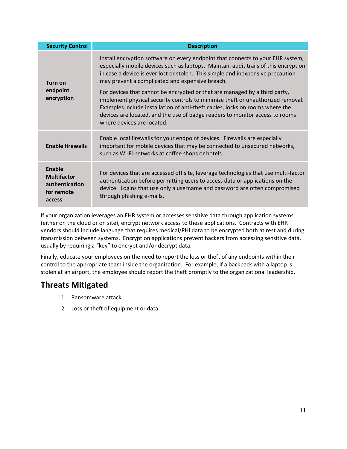| <b>Security Control</b>                                                | <b>Description</b>                                                                                                                                                                                                                                                                                                                                          |
|------------------------------------------------------------------------|-------------------------------------------------------------------------------------------------------------------------------------------------------------------------------------------------------------------------------------------------------------------------------------------------------------------------------------------------------------|
| Turn on<br>endpoint<br>encryption                                      | Install encryption software on every endpoint that connects to your EHR system,<br>especially mobile devices such as laptops. Maintain audit trails of this encryption<br>in case a device is ever lost or stolen. This simple and inexpensive precaution<br>may prevent a complicated and expensive breach.                                                |
|                                                                        | For devices that cannot be encrypted or that are managed by a third party,<br>implement physical security controls to minimize theft or unauthorized removal.<br>Examples include installation of anti-theft cables, locks on rooms where the<br>devices are located, and the use of badge readers to monitor access to rooms<br>where devices are located. |
| <b>Enable firewalls</b>                                                | Enable local firewalls for your endpoint devices. Firewalls are especially<br>important for mobile devices that may be connected to unsecured networks,<br>such as Wi-Fi networks at coffee shops or hotels.                                                                                                                                                |
| Enable<br><b>Multifactor</b><br>authentication<br>for remote<br>access | For devices that are accessed off site, leverage technologies that use multi-factor<br>authentication before permitting users to access data or applications on the<br>device. Logins that use only a username and password are often compromised<br>through phishing e-mails.                                                                              |

 If your organization leverages an EHR system or accesses sensitive data through application systems (either on the cloud or on site), encrypt network access to these applications. Contracts with EHR transmission between systems. Encryption applications prevent hackers from accessing sensitive data, vendors should include language that requires medical/PHI data to be encrypted both at rest and during usually by requiring a "key" to encrypt and/or decrypt data.

 Finally, educate your employees on the need to report the loss or theft of any endpoints within their control to the appropriate team inside the organization. For example, if a backpack with a laptop is stolen at an airport, the employee should report the theft promptly to the organizational leadership.

- 1. Ransomware attack
- 2. Loss or theft of equipment or data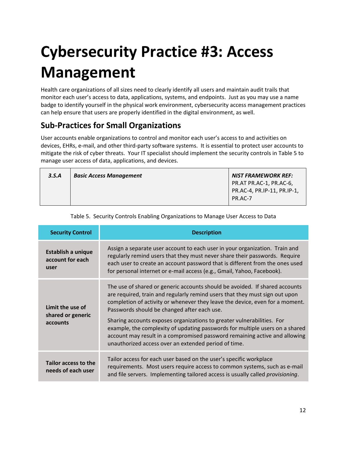# <span id="page-11-1"></span> **Cybersecurity Practice #3: Access Management**

 Health care organizations of all sizes need to clearly identify all users and maintain audit trails that monitor each user's access to data, applications, systems, and endpoints. Just as you may use a name badge to identify yourself in the physical work environment, cybersecurity access management practices can help ensure that users are properly identified in the digital environment, as well.

### **Sub-Practices for Small Organizations**

 devices, EHRs, e-mail, and other third-party software systems. It is essential to protect user accounts to mitigate the risk of cyber threats. Your IT specialist should implement the security controls in Table 5 to manage user access of data, applications, and devices. User accounts enable organizations to control and monitor each user's access to and activities on

| 3.5.A | <b>Basic Access Management</b> | <b>NIST FRAMEWORK REF:</b>                                        |
|-------|--------------------------------|-------------------------------------------------------------------|
|       |                                | PR.AT PR.AC-1, PR.AC-6,<br>PR.AC-4, PR.IP-11, PR.IP-1,<br>PR.AC-7 |

<span id="page-11-0"></span>

| <b>Security Control</b>                               | <b>Description</b>                                                                                                                                                                                                                                                                                                                                                                                                                                  |
|-------------------------------------------------------|-----------------------------------------------------------------------------------------------------------------------------------------------------------------------------------------------------------------------------------------------------------------------------------------------------------------------------------------------------------------------------------------------------------------------------------------------------|
| <b>Establish a unique</b><br>account for each<br>user | Assign a separate user account to each user in your organization. Train and<br>regularly remind users that they must never share their passwords. Require<br>each user to create an account password that is different from the ones used<br>for personal internet or e-mail access (e.g., Gmail, Yahoo, Facebook).                                                                                                                                 |
| Limit the use of<br>shared or generic<br>accounts     | The use of shared or generic accounts should be avoided. If shared accounts<br>are required, train and regularly remind users that they must sign out upon<br>completion of activity or whenever they leave the device, even for a moment.<br>Passwords should be changed after each use.<br>Sharing accounts exposes organizations to greater vulnerabilities. For<br>example, the complexity of updating passwords for multiple users on a shared |
|                                                       | account may result in a compromised password remaining active and allowing<br>unauthorized access over an extended period of time.                                                                                                                                                                                                                                                                                                                  |
| Tailor access to the<br>needs of each user            | Tailor access for each user based on the user's specific workplace<br>requirements. Most users require access to common systems, such as e-mail<br>and file servers. Implementing tailored access is usually called <i>provisioning</i> .                                                                                                                                                                                                           |

| Table 5. Security Controls Enabling Organizations to Manage User Access to Data |  |  |
|---------------------------------------------------------------------------------|--|--|
|---------------------------------------------------------------------------------|--|--|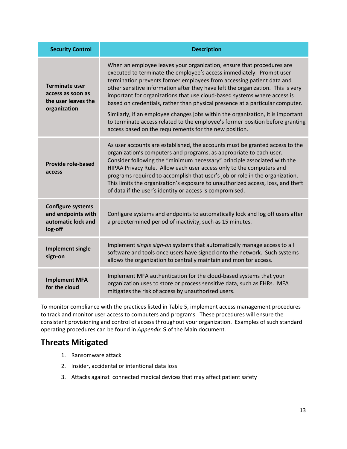| <b>Security Control</b>                                                           | <b>Description</b>                                                                                                                                                                                                                                                                                                                                                                                                                                                                                                                                                                                                                                                                                   |
|-----------------------------------------------------------------------------------|------------------------------------------------------------------------------------------------------------------------------------------------------------------------------------------------------------------------------------------------------------------------------------------------------------------------------------------------------------------------------------------------------------------------------------------------------------------------------------------------------------------------------------------------------------------------------------------------------------------------------------------------------------------------------------------------------|
| <b>Terminate user</b><br>access as soon as<br>the user leaves the<br>organization | When an employee leaves your organization, ensure that procedures are<br>executed to terminate the employee's access immediately. Prompt user<br>termination prevents former employees from accessing patient data and<br>other sensitive information after they have left the organization. This is very<br>important for organizations that use cloud-based systems where access is<br>based on credentials, rather than physical presence at a particular computer.<br>Similarly, if an employee changes jobs within the organization, it is important<br>to terminate access related to the employee's former position before granting<br>access based on the requirements for the new position. |
| <b>Provide role-based</b><br>access                                               | As user accounts are established, the accounts must be granted access to the<br>organization's computers and programs, as appropriate to each user.<br>Consider following the "minimum necessary" principle associated with the<br>HIPAA Privacy Rule. Allow each user access only to the computers and<br>programs required to accomplish that user's job or role in the organization.<br>This limits the organization's exposure to unauthorized access, loss, and theft<br>of data if the user's identity or access is compromised.                                                                                                                                                               |
| <b>Configure systems</b><br>and endpoints with<br>automatic lock and<br>log-off   | Configure systems and endpoints to automatically lock and log off users after<br>a predetermined period of inactivity, such as 15 minutes.                                                                                                                                                                                                                                                                                                                                                                                                                                                                                                                                                           |
| <b>Implement single</b><br>sign-on                                                | Implement single sign-on systems that automatically manage access to all<br>software and tools once users have signed onto the network. Such systems<br>allows the organization to centrally maintain and monitor access.                                                                                                                                                                                                                                                                                                                                                                                                                                                                            |
| <b>Implement MFA</b><br>for the cloud                                             | Implement MFA authentication for the cloud-based systems that your<br>organization uses to store or process sensitive data, such as EHRs. MFA<br>mitigates the risk of access by unauthorized users.                                                                                                                                                                                                                                                                                                                                                                                                                                                                                                 |

 to track and monitor user access to computers and programs. These procedures will ensure the consistent provisioning and control of access throughout your organization. Examples of such standard operating procedures can be found in *Appendix G* of the Main document*.*  To monitor compliance with the practices listed in Table 5, implement access management procedures

- 1. Ransomware attack
- 2. Insider, accidental or intentional data loss
- 3. Attacks against connected medical devices that may affect patient safety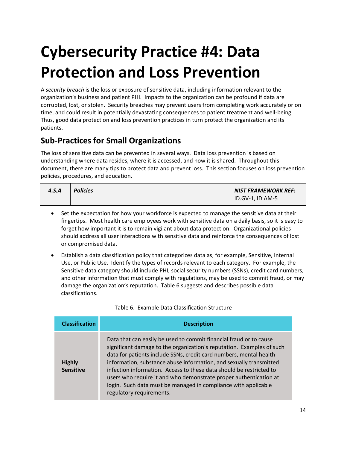### <span id="page-13-1"></span>**Cybersecurity Practice #4: Data Protection and Loss Prevention**

 A *security breach* is the loss or exposure of sensitive data, including information relevant to the organization's business and patient PHI. Impacts to the organization can be profound if data are corrupted, lost, or stolen. Security breaches may prevent users from completing work accurately or on time, and could result in potentially devastating consequences to patient treatment and well-being. Thus, good data protection and loss prevention practices in turn protect the organization and its patients.

#### **Sub-Practices for Small Organizations**

 The loss of sensitive data can be prevented in several ways. Data loss prevention is based on understanding where data resides, where it is accessed, and how it is shared. Throughout this document, there are many tips to protect data and prevent loss. This section focuses on loss prevention policies, procedures, and education.

| 4.S.A | <b>Policies</b> | <b>NIST FRAMEWORK REF:</b> |
|-------|-----------------|----------------------------|
|       |                 | ID.GV-1, ID.AM-5           |

- Set the expectation for how your workforce is expected to manage the sensitive data at their fingertips. Most health care employees work with sensitive data on a daily basis, so it is easy to or compromised data. forget how important it is to remain vigilant about data protection. Organizational policies should address all user interactions with sensitive data and reinforce the consequences of lost
- • Establish a data classification policy that categorizes data as, for example, Sensitive, Internal Use, or Public Use. Identify the types of records relevant to each category. For example, the Sensitive data category should include PHI, social security numbers (SSNs), credit card numbers, and other information that must comply with regulations, may be used to commit fraud, or may damage the organization's reputation. Table 6 suggests and describes possible data classifications.

Table 6. Example Data Classification Structure

<span id="page-13-0"></span>

| <b>Classification</b>             | <b>Description</b>                                                                                                                                                                                                                                                                                                                                                                                                                                                                                                                |  |  |
|-----------------------------------|-----------------------------------------------------------------------------------------------------------------------------------------------------------------------------------------------------------------------------------------------------------------------------------------------------------------------------------------------------------------------------------------------------------------------------------------------------------------------------------------------------------------------------------|--|--|
| <b>Highly</b><br><b>Sensitive</b> | Data that can easily be used to commit financial fraud or to cause<br>significant damage to the organization's reputation. Examples of such<br>data for patients include SSNs, credit card numbers, mental health<br>information, substance abuse information, and sexually transmitted<br>infection information. Access to these data should be restricted to<br>users who require it and who demonstrate proper authentication at<br>login. Such data must be managed in compliance with applicable<br>regulatory requirements. |  |  |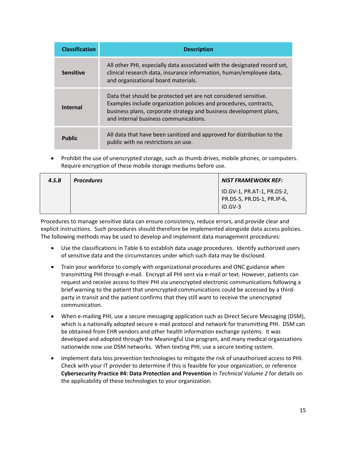| <b>Classification</b> | <b>Description</b>                                                                                                                                                                                                                                  |  |
|-----------------------|-----------------------------------------------------------------------------------------------------------------------------------------------------------------------------------------------------------------------------------------------------|--|
| <b>Sensitive</b>      | All other PHI, especially data associated with the designated record set,<br>clinical research data, insurance information, human/employee data,<br>and organizational board materials.                                                             |  |
| <b>Internal</b>       | Data that should be protected yet are not considered sensitive.<br>Examples include organization policies and procedures, contracts,<br>business plans, corporate strategy and business development plans,<br>and internal business communications. |  |
| <b>Public</b>         | All data that have been sanitized and approved for distribution to the<br>public with no restrictions on use.                                                                                                                                       |  |

• Prohibit the use of unencrypted storage, such as thumb drives, mobile phones, or computers. Require encryption of these mobile storage mediums before use.

| 4.S.B | <b>Procedures</b> | <b>NIST FRAMEWORK REF:</b>                                            |
|-------|-------------------|-----------------------------------------------------------------------|
|       |                   | ID.GV-1, PR.AT-1, PR.DS-2,<br>PR.DS-5, PR.DS-1, PR.IP-6,<br>$ID.GV-3$ |

 Procedures to manage sensitive data can ensure consistency, reduce errors, and provide clear and The following methods may be used to develop and implement data management procedures: explicit instructions. Such procedures should therefore be implemented alongside data access policies.

- Use the classifications in Table 6 to establish data usage procedures. Identify authorized users of sensitive data and the circumstances under which such data may be disclosed.
- transmitting PHI through e-mail. Encrypt all PHI sent via e-mail or text. However, patients can • Train your workforce to comply with organizational procedures and ONC guidance when request and receive access to their PHI via unencrypted electronic communications following a brief warning to the patient that unencrypted communications could be accessed by a thirdparty in transit and the patient confirms that they still want to receive the unencrypted communication.
- When e-mailing PHI, use a secure messaging application such as Direct Secure Messaging (DSM), which is a nationally adopted secure e-mail protocol and network for transmitting PHI. DSM can be obtained from EHR vendors and other health information exchange systems. It was developed and adopted through the Meaningful Use program, and many medical organizations nationwide now use DSM networks. When texting PHI, use a secure texting system.
- **Cybersecurity Practice #4: Data Protection and Prevention** in *Technical Volume 2* for details on Implement data loss prevention technologies to mitigate the risk of unauthorized access to PHI. Check with your IT provider to determine if this is feasible for your organization, or reference the applicability of these technologies to your organization.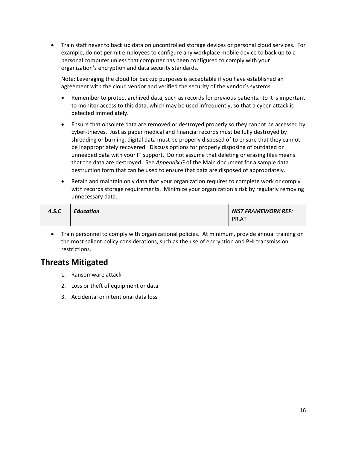• Train staff never to back up data on uncontrolled storage devices or personal cloud services. For example, do not permit employees to configure any workplace mobile device to back up to a personal computer unless that computer has been configured to comply with your organization's encryption and data security standards.

 Note: Leveraging the cloud for backup purposes is acceptable if you have established an agreement with the cloud vendor and verified the security of the vendor's systems.

- Remember to protect archived data, such as records for previous patients. to It is important to monitor access to this data, which may be used infrequently, so that a cyber-attack is detected immediately.
- shredding or burning, digital data must be properly disposed of to ensure that they cannot unneeded data with your IT support. Do not assume that deleting or erasing files means that the data are destroyed. See *Appendix G* of the Main document for a sample data • Ensure that obsolete data are removed or destroyed properly so they cannot be accessed by cyber-thieves. Just as paper medical and financial records must be fully destroyed by be inappropriately recovered. Discuss options for properly disposing of outdated or destruction form that can be used to ensure that data are disposed of appropriately.
- • Retain and maintain only data that your organization requires to complete work or comply with records storage requirements. Minimize your organization's risk by regularly removing unnecessary data.

| 4.S.C | <b>Education</b> | <b>NIST FRAMEWORK REF:</b> |
|-------|------------------|----------------------------|
|       |                  | PR.AT                      |

 • Train personnel to comply with organizational policies. At minimum, provide annual training on the most salient policy considerations, such as the use of encryption and PHI transmission restrictions.

- 1. Ransomware attack
- 2. Loss or theft of equipment or data
- 3. Accidental or intentional data loss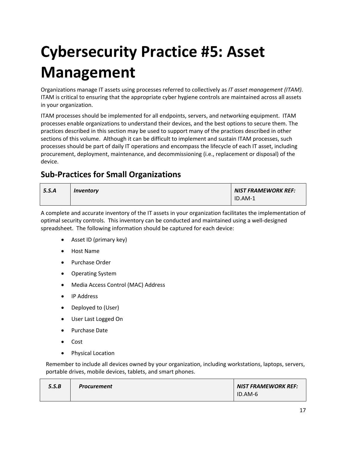# <span id="page-16-0"></span> **Cybersecurity Practice #5: Asset Management**

 Organizations manage IT assets using processes referred to collectively as *IT asset management (ITAM)*. ITAM is critical to ensuring that the appropriate cyber hygiene controls are maintained across all assets in your organization.

 processes enable organizations to understand their devices, and the best options to secure them. The practices described in this section may be used to support many of the practices described in other sections of this volume. Although it can be difficult to implement and sustain ITAM processes, such procurement, deployment, maintenance, and decommissioning (i.e., replacement or disposal) of the ITAM processes should be implemented for all endpoints, servers, and networking equipment. ITAM processes should be part of daily IT operations and encompass the lifecycle of each IT asset, including device.

#### **Sub-Practices for Small Organizations**

| 5.5.A | Inventory | <b>NIST FRAMEWORK REF:</b> |
|-------|-----------|----------------------------|
|       |           | $ID.AM-1$                  |

A complete and accurate inventory of the IT assets in your organization facilitates the implementation of optimal security controls. This inventory can be conducted and maintained using a well-designed spreadsheet. The following information should be captured for each device:

- Asset ID (primary key)
- Host Name
- Purchase Order
- Operating System
- Media Access Control (MAC) Address
- IP Address
- Deployed to (User)
- User Last Logged On
- Purchase Date
- Cost
- Physical Location

 portable drives, mobile devices, tablets, and smart phones. Remember to include all devices owned by your organization, including workstations, laptops, servers,

| 5.S.B | <b>Procurement</b> | NIST FRAMEWORK REF: |
|-------|--------------------|---------------------|
|       |                    | ID.AM-6             |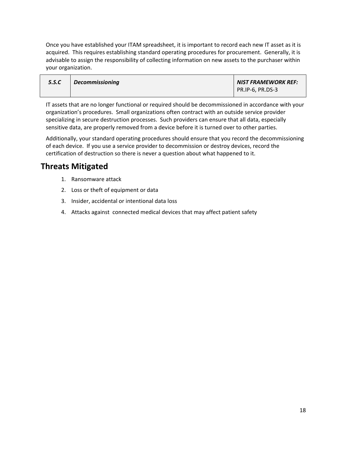Once you have established your ITAM spreadsheet, it is important to record each new IT asset as it is acquired. This requires establishing standard operating procedures for procurement. Generally, it is advisable to assign the responsibility of collecting information on new assets to the purchaser within your organization.

| 5.S.C | <b>Decommissioning</b> | <b>NIST FRAMEWORK REF:</b> |
|-------|------------------------|----------------------------|
|       |                        | PR.IP-6, PR.DS-3           |

 IT assets that are no longer functional or required should be decommissioned in accordance with your organization's procedures. Small organizations often contract with an outside service provider sensitive data, are properly removed from a device before it is turned over to other parties. specializing in secure destruction processes. Such providers can ensure that all data, especially

Additionally, your standard operating procedures should ensure that you record the decommissioning of each device. If you use a service provider to decommission or destroy devices, record the certification of destruction so there is never a question about what happened to it.

- 1. Ransomware attack
- 2. Loss or theft of equipment or data
- 3. Insider, accidental or intentional data loss
- 4. Attacks against connected medical devices that may affect patient safety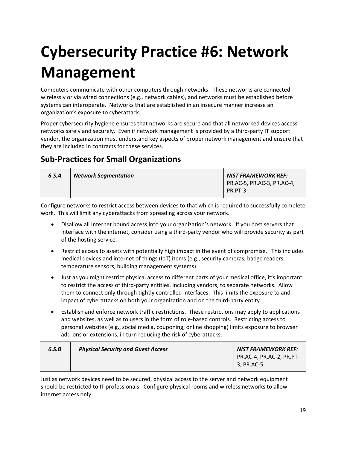# <span id="page-18-0"></span> **Cybersecurity Practice #6: Network Management**

 wirelessly or via wired connections (e.g., network cables), and networks must be established before systems can interoperate. Networks that are established in an insecure manner increase an Computers communicate with other computers through networks. These networks are connected organization's exposure to cyberattack.

 Proper cybersecurity hygiene ensures that networks are secure and that all networked devices access networks safely and securely. Even if network management is provided by a third-party IT support vendor, the organization must understand key aspects of proper network management and ensure that they are included in contracts for these services.

### **Sub-Practices for Small Organizations**

| 6.S.A | <b>Network Segmentation</b> | <b>NIST FRAMEWORK REF:</b> |
|-------|-----------------------------|----------------------------|
|       |                             | PR.AC-5, PR.AC-3, PR.AC-4, |
|       |                             | PR.PT-3                    |
|       |                             |                            |

Configure networks to restrict access between devices to that which is required to successfully complete work. This will limit any cyberattacks from spreading across your network.

- interface with the internet, consider using a third-party vendor who will provide security as part Disallow all Internet bound access into your organization's network. If you host servers that of the hosting service.
- Restrict access to assets with potentially high impact in the event of compromise. This includes medical devices and internet of things (IoT) items (e.g., security cameras, badge readers, temperature sensors, building management systems).
- to restrict the access of third-party entities, including vendors, to separate networks. Allow them to connect only through tightly controlled interfaces. This limits the exposure to and impact of cyberattacks on both your organization and on the third-party entity. • Just as you might restrict physical access to different parts of your medical office, it's important
- • Establish and enforce network traffic restrictions. These restrictions may apply to applications and websites, as well as to users in the form of role-based controls. Restricting access to personal websites (e.g., social media, couponing, online shopping) limits exposure to browser add-ons or extensions, in turn reducing the risk of cyberattacks.

| 6.S.B | <b>Physical Security and Guest Access</b> | <b>NIST FRAMEWORK REF:</b>             |
|-------|-------------------------------------------|----------------------------------------|
|       |                                           | PR.AC-4, PR.AC-2, PR.PT-<br>3, PR.AC-5 |
|       |                                           |                                        |

 Just as network devices need to be secured, physical access to the server and network equipment should be restricted to IT professionals. Configure physical rooms and wireless networks to allow internet access only.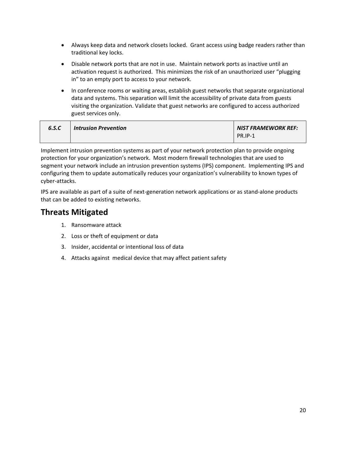- Always keep data and network closets locked. Grant access using badge readers rather than traditional key locks.
- Disable network ports that are not in use. Maintain network ports as inactive until an activation request is authorized. This minimizes the risk of an unauthorized user "plugging in" to an empty port to access to your network.
- In conference rooms or waiting areas, establish guest networks that separate organizational guest services only. data and systems. This separation will limit the accessibility of private data from guests visiting the organization. Validate that guest networks are configured to access authorized

| 6.S.C | <b>Intrusion Prevention</b> | NIST FRAMEWORK REF: |
|-------|-----------------------------|---------------------|
|       |                             | <b>PR.IP-1</b>      |

 segment your network include an intrusion prevention systems (IPS) component. Implementing IPS and configuring them to update automatically reduces your organization's vulnerability to known types of Implement intrusion prevention systems as part of your network protection plan to provide ongoing protection for your organization's network. Most modern firewall technologies that are used to cyber-attacks.

 that can be added to existing networks. IPS are available as part of a suite of next-generation network applications or as stand-alone products

- 1. Ransomware attack
- 2. Loss or theft of equipment or data
- 3. Insider, accidental or intentional loss of data
- 4. Attacks against medical device that may affect patient safety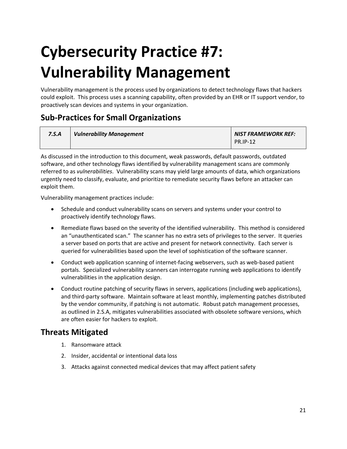## <span id="page-20-0"></span> **Cybersecurity Practice #7: Vulnerability Management**

 could exploit. This process uses a scanning capability, often provided by an EHR or IT support vendor, to Vulnerability management is the process used by organizations to detect technology flaws that hackers proactively scan devices and systems in your organization.

#### **Sub-Practices for Small Organizations**

| 7.S.A | <b>Vulnerability Management</b> | <b>NIST FRAMEWORK REF:</b> |
|-------|---------------------------------|----------------------------|
|       |                                 | <b>PR.IP-12</b>            |

 As discussed in the introduction to this document, weak passwords, default passwords, outdated referred to as *vulnerabilities*. Vulnerability scans may yield large amounts of data, which organizations urgently need to classify, evaluate, and prioritize to remediate security flaws before an attacker can exploit them. software, and other technology flaws identified by vulnerability management scans are commonly

exploit them.<br>Vulnerability management practices include:

- Schedule and conduct vulnerability scans on servers and systems under your control to proactively identify technology flaws.
- • Remediate flaws based on the severity of the identified vulnerability. This method is considered an "unauthenticated scan." The scanner has no extra sets of privileges to the server. It queries a server based on ports that are active and present for network connectivity. Each server is queried for vulnerabilities based upon the level of sophistication of the software scanner.
- portals. Specialized vulnerability scanners can interrogate running web applications to identify • Conduct web application scanning of internet-facing webservers, such as web-based patient vulnerabilities in the application design.
- and third-party software. Maintain software at least monthly, implementing patches distributed by the vendor community, if patching is not automatic. Robust patch management processes, as outlined in 2.S.A, mitigates vulnerabilities associated with obsolete software versions, which are often easier for hackers to exploit. • Conduct routine patching of security flaws in servers, applications (including web applications),

- 1. Ransomware attack
- 2. Insider, accidental or intentional data loss
- 3. Attacks against connected medical devices that may affect patient safety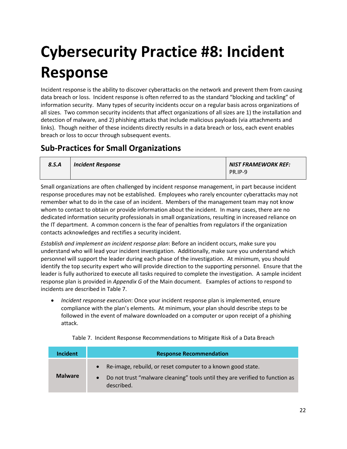# <span id="page-21-1"></span> **Cybersecurity Practice #8: Incident Response**

 data breach or loss. Incident response is often referred to as the standard "blocking and tackling" of links). Though neither of these incidents directly results in a data breach or loss, each event enables breach or loss to occur through subsequent events. Incident response is the ability to discover cyberattacks on the network and prevent them from causing information security. Many types of security incidents occur on a regular basis across organizations of all sizes. Two common security incidents that affect organizations of all sizes are 1) the installation and detection of malware, and 2) phishing attacks that include malicious payloads (via attachments and

#### **Sub-Practices for Small Organizations**

| 8.S.A | <b>Incident Response</b> | <b>NIST FRAMEWORK REF:</b> |
|-------|--------------------------|----------------------------|
|       |                          | PR.IP-9                    |

 remember what to do in the case of an incident. Members of the management team may not know whom to contact to obtain or provide information about the incident. In many cases, there are no the IT department. A common concern is the fear of penalties from regulators if the organization Small organizations are often challenged by incident response management, in part because incident response procedures may not be established. Employees who rarely encounter cyberattacks may not dedicated information security professionals in small organizations, resulting in increased reliance on contacts acknowledges and rectifies a security incident.

 *Establish and implement an incident response plan*: Before an incident occurs, make sure you understand who will lead your incident investigation. Additionally, make sure you understand which personnel will support the leader during each phase of the investigation. At minimum, you should identify the top security expert who will provide direction to the supporting personnel. Ensure that the leader is fully authorized to execute all tasks required to complete the investigation. A sample incident response plan is provided in *Appendix G* of the Main document. Examples of actions to respond to incidents are described in Table 7.

 • *Incident response execution*: Once your incident response plan is implemented, ensure compliance with the plan's elements. At minimum, your plan should describe steps to be followed in the event of malware downloaded on a computer or upon receipt of a phishing attack.

<span id="page-21-0"></span>

| <b>Incident</b> | <b>Response Recommendation</b>                                                                                                                            |
|-----------------|-----------------------------------------------------------------------------------------------------------------------------------------------------------|
| <b>Malware</b>  | Re-image, rebuild, or reset computer to a known good state.<br>Do not trust "malware cleaning" tools until they are verified to function as<br>described. |

Table 7. Incident Response Recommendations to Mitigate Risk of a Data Breach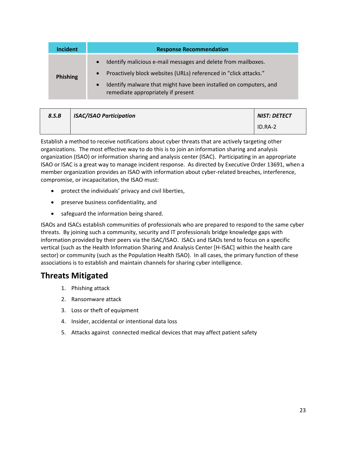| <b>Incident</b> | <b>Response Recommendation</b>                                                                                                                                                                                                                                                      |
|-----------------|-------------------------------------------------------------------------------------------------------------------------------------------------------------------------------------------------------------------------------------------------------------------------------------|
| Phishing        | Identify malicious e-mail messages and delete from mailboxes.<br>$\bullet$<br>Proactively block websites (URLs) referenced in "click attacks."<br>$\bullet$<br>Identify malware that might have been installed on computers, and<br>$\bullet$<br>remediate appropriately if present |

| 8.S.B | <b>ISAC/ISAO Participation</b> | <b>NIST: DETECT</b> |
|-------|--------------------------------|---------------------|
|       |                                | ID.RA-2             |

 Establish a method to receive notifications about cyber threats that are actively targeting other organizations. The most effective way to do this is to join an information sharing and analysis organization (ISAO) or information sharing and analysis center (ISAC). Participating in an appropriate ISAO or ISAC is a great way to manage incident response. As directed by Executive Order 13691, when a member organization provides an ISAO with information about cyber-related breaches, interference, compromise, or incapacitation, the ISAO must:

- protect the individuals' privacy and civil liberties,
- preserve business confidentiality, and
- safeguard the information being shared.

 ISAOs and ISACs establish communities of professionals who are prepared to respond to the same cyber information provided by their peers via the ISAC/ISAO. ISACs and ISAOs tend to focus on a specific vertical (such as the Health Information Sharing and Analysis Center [H-ISAC] within the health care associations is to establish and maintain channels for sharing cyber intelligence. threats. By joining such a community, security and IT professionals bridge knowledge gaps with sector) or community (such as the Population Health ISAO). In all cases, the primary function of these

- 1. Phishing attack
- 2. Ransomware attack
- 3. Loss or theft of equipment
- 4. Insider, accidental or intentional data loss
- 5. Attacks against connected medical devices that may affect patient safety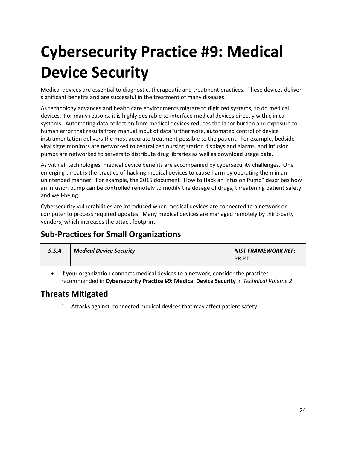## <span id="page-23-0"></span>**Cybersecurity Practice #9: Medical Device Security**

 Medical devices are essential to diagnostic, therapeutic and treatment practices. These devices deliver significant benefits and are successful in the treatment of many diseases.

 As technology advances and health care environments migrate to digitized systems, so do medical devices. For many reasons, it is highly desirable to interface medical devices directly with clinical systems. Automating data collection from medical devices reduces the labor burden and exposure to instrumentation delivers the most accurate treatment possible to the patient. For example, bedside human error that results from manual input of dataFurthermore, automated control of device vital signs monitors are networked to centralized nursing station displays and alarms, and infusion pumps are networked to servers to distribute drug libraries as well as download usage data.

 As with all technologies, medical device benefits are accompanied by cybersecurity challenges. One emerging threat is the practice of hacking medical devices to cause harm by operating them in an unintended manner. For example, the 2015 document "How to Hack an Infusion Pump" describes how an infusion pump can be controlled remotely to modify the dosage of drugs, threatening patient safety and well-being.

 Cybersecurity vulnerabilities are introduced when medical devices are connected to a network or computer to process required updates. Many medical devices are managed remotely by third-party vendors, which increases the attack footprint.

### **Sub-Practices for Small Organizations**

| 9.S.A | <b>Medical Device Security</b> | NIST FRAMEWORK REF: |
|-------|--------------------------------|---------------------|
|       |                                | PR.PT               |

 • If your organization connects medical devices to a network, consider the practices recommended in **Cybersecurity Practice #9: Medical Device Security** in *Technical Volume 2*.

#### **Threats Mitigated**

1. Attacks against connected medical devices that may affect patient safety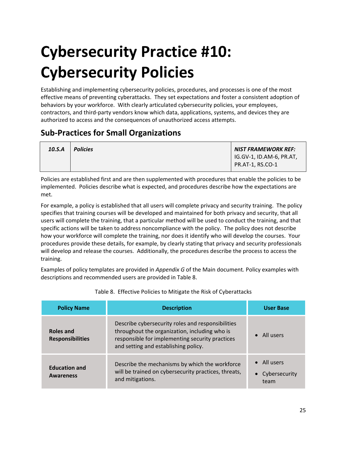# <span id="page-24-1"></span> **Cybersecurity Practice #10: Cybersecurity Policies**

 effective means of preventing cyberattacks. They set expectations and foster a consistent adoption of behaviors by your workforce. With clearly articulated cybersecurity policies, your employees, contractors, and third-party vendors know which data, applications, systems, and devices they are Establishing and implementing cybersecurity policies, procedures, and processes is one of the most authorized to access and the consequences of unauthorized access attempts.

#### **Sub-Practices for Small Organizations**

| 10.S.A | <b>Policies</b> | NIST FRAMEWORK REF:      |
|--------|-----------------|--------------------------|
|        |                 | IG.GV-1, ID.AM-6, PR.AT, |
|        |                 | <b>PR.AT-1, RS.CO-1</b>  |

 Policies are established first and are then supplemented with procedures that enable the policies to be implemented. Policies describe what is expected, and procedures describe how the expectations are met.

 For example, a policy is established that all users will complete privacy and security training. The policy specifies that training courses will be developed and maintained for both privacy and security, that all users will complete the training, that a particular method will be used to conduct the training, and that specific actions will be taken to address noncompliance with the policy. The policy does not describe how your workforce will complete the training, nor does it identify who will develop the courses. Your will develop and release the courses. Additionally, the procedures describe the process to access the procedures provide these details, for example, by clearly stating that privacy and security professionals training.

 descriptions and recommended users are provided in Table 8. Examples of policy templates are provided in *Appendix G* of the Main document*.* Policy examples with

<span id="page-24-0"></span>

| <b>Policy Name</b>                       | <b>Description</b>                                                                                                                                                                            | <b>User Base</b>                             |
|------------------------------------------|-----------------------------------------------------------------------------------------------------------------------------------------------------------------------------------------------|----------------------------------------------|
| Roles and<br><b>Responsibilities</b>     | Describe cybersecurity roles and responsibilities<br>throughout the organization, including who is<br>responsible for implementing security practices<br>and setting and establishing policy. | $\bullet$ All users                          |
| <b>Education and</b><br><b>Awareness</b> | Describe the mechanisms by which the workforce<br>will be trained on cybersecurity practices, threats,<br>and mitigations.                                                                    | $\bullet$ All users<br>Cybersecurity<br>team |

#### Table 8. Effective Policies to Mitigate the Risk of Cyberattacks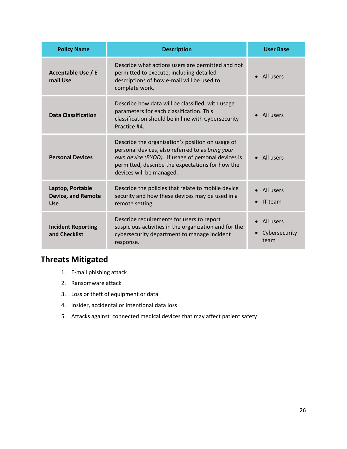| <b>Policy Name</b>                                          | <b>Description</b>                                                                                                                                                                                                                         | <b>User Base</b>                   |
|-------------------------------------------------------------|--------------------------------------------------------------------------------------------------------------------------------------------------------------------------------------------------------------------------------------------|------------------------------------|
| Acceptable Use / E-<br>mail Use                             | Describe what actions users are permitted and not<br>permitted to execute, including detailed<br>descriptions of how e-mail will be used to<br>complete work.                                                                              | All users                          |
| <b>Data Classification</b>                                  | Describe how data will be classified, with usage<br>parameters for each classification. This<br>classification should be in line with Cybersecurity<br>Practice #4.                                                                        | • All users                        |
| <b>Personal Devices</b>                                     | Describe the organization's position on usage of<br>personal devices, also referred to as bring your<br>own device (BYOD). If usage of personal devices is<br>permitted, describe the expectations for how the<br>devices will be managed. | All users                          |
| Laptop, Portable<br><b>Device, and Remote</b><br><b>Use</b> | Describe the policies that relate to mobile device<br>security and how these devices may be used in a<br>remote setting.                                                                                                                   | All users<br>IT team               |
| <b>Incident Reporting</b><br>and Checklist                  | Describe requirements for users to report<br>suspicious activities in the organization and for the<br>cybersecurity department to manage incident<br>response.                                                                             | All users<br>Cybersecurity<br>team |

- 1. E-mail phishing attack
- 2. Ransomware attack
- 3. Loss or theft of equipment or data
- 4. Insider, accidental or intentional data loss
- 5. Attacks against connected medical devices that may affect patient safety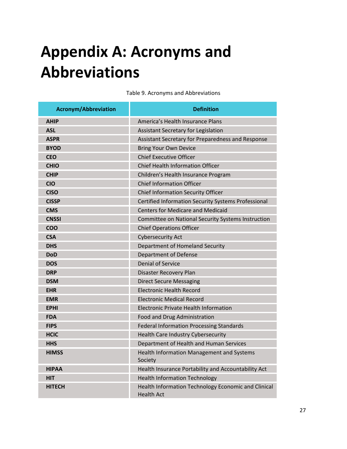### <span id="page-26-1"></span>**Appendix A: Acronyms and Abbreviations**

<span id="page-26-0"></span>**Acronym/Abbreviation** Definition **AHIP AMERICA'S Health Insurance Plans ASL ASL Assistant Secretary for Legislation ASPR Assistant Secretary for Preparedness and Response BYOD BYOD Bring Your Own Device CEO** Chief Executive Officer **CHIO** Chief Health Information Officer **CHIP CHIP Children's Health Insurance Program CIO** Chief Information Officer **CISO** Chief Information Security Officer **CISSP CERTIFIED CERTIFIED INFORMATION SECURITY Systems Professional CMS** Centers for Medicare and Medicaid **CNSSI COMMITTEE COMMITTEE ON NATIONAL SYSTEMS INSTRUCTION COO COO COO COO COO COO COO COO COO COO COO COO COO COO COO COO COO COO COO COO COO COO COO COO COO COO COO COO COO COO COO COO COO COO COO COO COO CSA** Cybersecurity Act **DHS DHS DEPARTMENT OF BUSICIAL CONSUMING SECURITY Department of Homeland Security DoD Department of Defense DOS DOS DENIAL CONSTITUTION DRP Disaster Recovery Plan DSM Direct Secure Messaging EHR** Electronic Health Record **EMR** Electronic Medical Record **EPHI EPHI Electronic Private Health Information FDA FOOD ACCESS FOOD AND FOOD AND FOOD AND FOOD ADMINISTRATION FIPS FIPS FEDERAL INFORMATION Federal Information Processing Standards HCIC Health Care Industry Cybersecurity HHS Department of Health and Human Services HIMSS HIMSS HEALT AND REALT AND HEALT AND HEALT AND HEALTH INFORMATION MANAgement and Systems** Society **HIPAA HIPAA Health Insurance Portability and Accountability Act HIT HIT HIT HISP Health Information Technology HITECH Health Information Technology Economic and Clinical** 

Health Act

Table 9. Acronyms and Abbreviations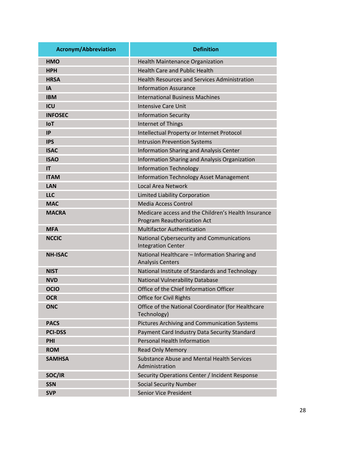| <b>Acronym/Abbreviation</b> | <b>Definition</b>                                                                  |
|-----------------------------|------------------------------------------------------------------------------------|
| <b>HMO</b>                  | <b>Health Maintenance Organization</b>                                             |
| <b>HPH</b>                  | <b>Health Care and Public Health</b>                                               |
| <b>HRSA</b>                 | <b>Health Resources and Services Administration</b>                                |
| <b>IA</b>                   | <b>Information Assurance</b>                                                       |
| <b>IBM</b>                  | <b>International Business Machines</b>                                             |
| ICU                         | <b>Intensive Care Unit</b>                                                         |
| <b>INFOSEC</b>              | <b>Information Security</b>                                                        |
| <b>IoT</b>                  | Internet of Things                                                                 |
| <b>IP</b>                   | Intellectual Property or Internet Protocol                                         |
| <b>IPS</b>                  | <b>Intrusion Prevention Systems</b>                                                |
| <b>ISAC</b>                 | Information Sharing and Analysis Center                                            |
| <b>ISAO</b>                 | Information Sharing and Analysis Organization                                      |
| IT                          | <b>Information Technology</b>                                                      |
| <b>ITAM</b>                 | <b>Information Technology Asset Management</b>                                     |
| <b>LAN</b>                  | <b>Local Area Network</b>                                                          |
| <b>LLC</b>                  | Limited Liability Corporation                                                      |
| <b>MAC</b>                  | <b>Media Access Control</b>                                                        |
| <b>MACRA</b>                | Medicare access and the Children's Health Insurance<br>Program Reauthorization Act |
| <b>MFA</b>                  | <b>Multifactor Authentication</b>                                                  |
| <b>NCCIC</b>                | National Cybersecurity and Communications<br><b>Integration Center</b>             |
| <b>NH-ISAC</b>              | National Healthcare - Information Sharing and<br><b>Analysis Centers</b>           |
| <b>NIST</b>                 | National Institute of Standards and Technology                                     |
| <b>NVD</b>                  | National Vulnerability Database                                                    |
| <b>OCIO</b>                 | Office of the Chief Information Officer                                            |
| <b>OCR</b>                  | Office for Civil Rights                                                            |
| <b>ONC</b>                  | Office of the National Coordinator (for Healthcare<br>Technology)                  |
| <b>PACS</b>                 | Pictures Archiving and Communication Systems                                       |
| <b>PCI-DSS</b>              | Payment Card Industry Data Security Standard                                       |
| PHI                         | <b>Personal Health Information</b>                                                 |
| <b>ROM</b>                  | <b>Read Only Memory</b>                                                            |
| <b>SAMHSA</b>               | <b>Substance Abuse and Mental Health Services</b><br>Administration                |
| SOC/IR                      | Security Operations Center / Incident Response                                     |
| <b>SSN</b>                  | <b>Social Security Number</b>                                                      |
| <b>SVP</b>                  | <b>Senior Vice President</b>                                                       |